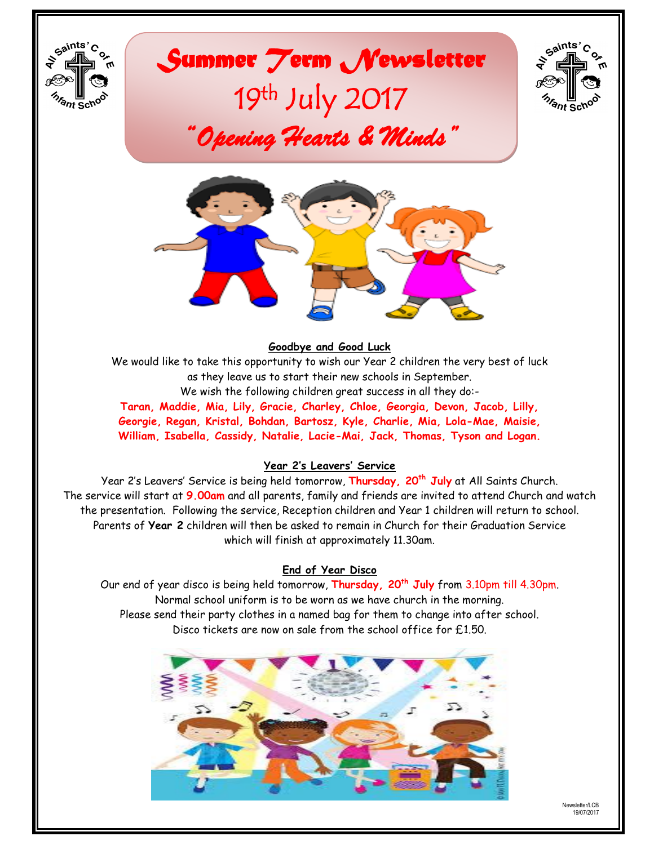

# *Summer Term Newsletter*  19<sup>th</sup> July 2017 *"Opening Hearts & Minds"*





#### **Goodbye and Good Luck**

We would like to take this opportunity to wish our Year 2 children the very best of luck as they leave us to start their new schools in September. We wish the following children great success in all they do:-

**Taran, Maddie, Mia, Lily, Gracie, Charley, Chloe, Georgia, Devon, Jacob, Lilly, Georgie, Regan, Kristal, Bohdan, Bartosz, Kyle, Charlie, Mia, Lola-Mae, Maisie, William, Isabella, Cassidy, Natalie, Lacie-Mai, Jack, Thomas, Tyson and Logan.**

#### **Year 2's Leavers' Service**

Year 2's Leavers' Service is being held tomorrow, **Thursday, 20th July** at All Saints Church. The service will start at **9.00am** and all parents, family and friends are invited to attend Church and watch the presentation. Following the service, Reception children and Year 1 children will return to school. Parents of **Year 2** children will then be asked to remain in Church for their Graduation Service which will finish at approximately 11.30am.

#### **End of Year Disco**

Our end of year disco is being held tomorrow, **Thursday, 20th July** from 3.10pm till 4.30pm. Normal school uniform is to be worn as we have church in the morning. Please send their party clothes in a named bag for them to change into after school. Disco tickets are now on sale from the school office for £1.50.

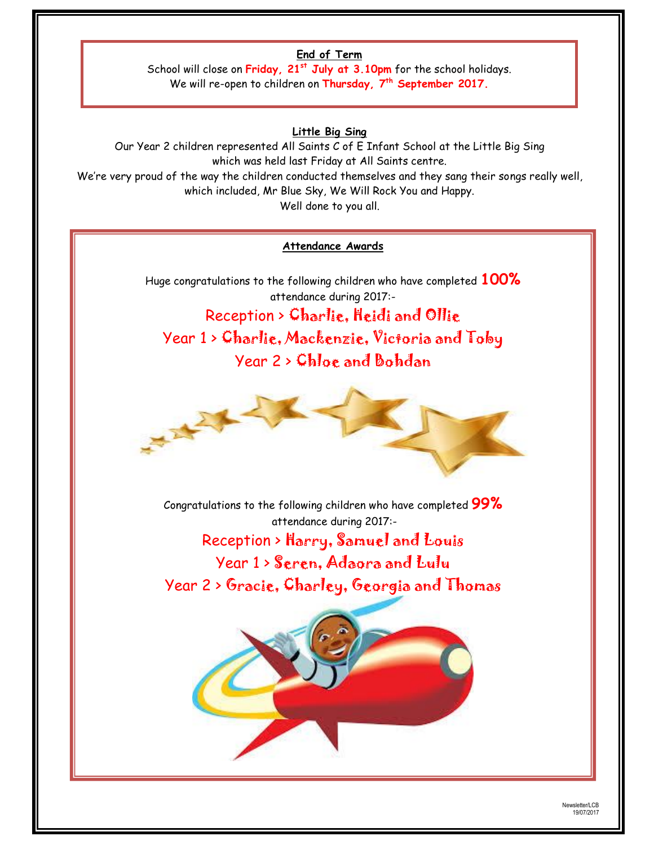# **End of Term**

School will close on **Friday, 21st July at 3.10pm** for the school holidays. We will re-open to children on **Thursday, 7th September 2017.**

# **Little Big Sing**

Our Year 2 children represented All Saints C of E Infant School at the Little Big Sing which was held last Friday at All Saints centre. We're very proud of the way the children conducted themselves and they sang their songs really well, which included, Mr Blue Sky, We Will Rock You and Happy. Well done to you all.

#### **Attendance Awards**

Huge congratulations to the following children who have completed **100%** attendance during 2017:- Reception > Charlie, Heidi and Ollie Year 1 > Charlie, Mackenzie, Victoria and Toby Year 2 > Chloe and Bohdan



Congratulations to the following children who have completed **99%** attendance during 2017:-

Reception > Harry, Samuel and Louis Year 1 > Seren, Adaora and Lulu Year 2 > Gracie, Charley, Georgia and Thomas